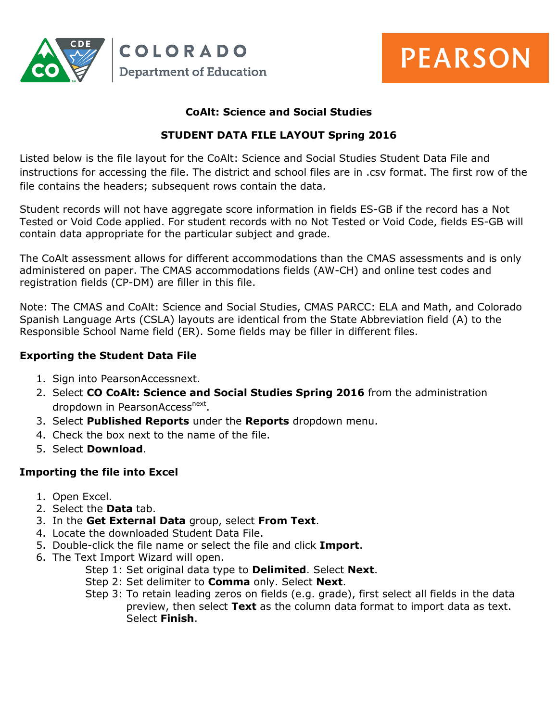



## **CoAlt: Science and Social Studies**

## **STUDENT DATA FILE LAYOUT Spring 2016**

Listed below is the file layout for the CoAlt: Science and Social Studies Student Data File and instructions for accessing the file. The district and school files are in .csv format. The first row of the file contains the headers; subsequent rows contain the data.

Student records will not have aggregate score information in fields ES-GB if the record has a Not Tested or Void Code applied. For student records with no Not Tested or Void Code, fields ES-GB will contain data appropriate for the particular subject and grade.

The CoAlt assessment allows for different accommodations than the CMAS assessments and is only administered on paper. The CMAS accommodations fields (AW-CH) and online test codes and registration fields (CP-DM) are filler in this file.

Note: The CMAS and CoAlt: Science and Social Studies, CMAS PARCC: ELA and Math, and Colorado Spanish Language Arts (CSLA) layouts are identical from the State Abbreviation field (A) to the Responsible School Name field (ER). Some fields may be filler in different files.

## **Exporting the Student Data File**

- 1. Sign into PearsonAccessnext.
- 2. Select **CO CoAlt: Science and Social Studies Spring 2016** from the administration dropdown in PearsonAccess<sup>next</sup>.
- 3. Select **Published Reports** under the **Reports** dropdown menu.
- 4. Check the box next to the name of the file.
- 5. Select **Download**.

## **Importing the file into Excel**

- 1. Open Excel.
- 2. Select the **Data** tab.
- 3. In the **Get External Data** group, select **From Text**.
- 4. Locate the downloaded Student Data File.
- 5. Double-click the file name or select the file and click **Import**.
- 6. The Text Import Wizard will open.
	- Step 1: Set original data type to **Delimited**. Select **Next**.
	- Step 2: Set delimiter to **Comma** only. Select **Next**.
	- Step 3: To retain leading zeros on fields (e.g. grade), first select all fields in the data preview, then select **Text** as the column data format to import data as text. Select **Finish**.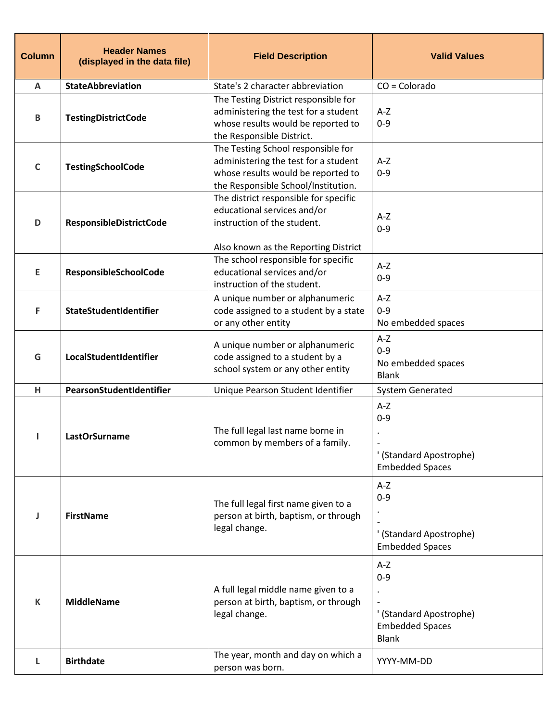| <b>Column</b>             | <b>Header Names</b><br>(displayed in the data file) | <b>Field Description</b>                                                                                                                                | <b>Valid Values</b>                                                                   |
|---------------------------|-----------------------------------------------------|---------------------------------------------------------------------------------------------------------------------------------------------------------|---------------------------------------------------------------------------------------|
| $\boldsymbol{\mathsf{A}}$ | StateAbbreviation                                   | State's 2 character abbreviation                                                                                                                        | $CO = Colorado$                                                                       |
| $\, {\bf B}$              | <b>TestingDistrictCode</b>                          | The Testing District responsible for<br>administering the test for a student<br>whose results would be reported to<br>the Responsible District.         | $A-Z$<br>$0 - 9$                                                                      |
| $\mathsf{C}$              | <b>TestingSchoolCode</b>                            | The Testing School responsible for<br>administering the test for a student<br>whose results would be reported to<br>the Responsible School/Institution. | $A-Z$<br>$0 - 9$                                                                      |
| D                         | ResponsibleDistrictCode                             | The district responsible for specific<br>educational services and/or<br>instruction of the student.                                                     | $A-Z$<br>$0 - 9$                                                                      |
| E                         | ResponsibleSchoolCode                               | Also known as the Reporting District<br>The school responsible for specific<br>educational services and/or<br>instruction of the student.               | $A-Z$<br>$0 - 9$                                                                      |
| F                         | StateStudentIdentifier                              | A unique number or alphanumeric<br>code assigned to a student by a state<br>or any other entity                                                         | $A-Z$<br>$0 - 9$<br>No embedded spaces                                                |
| G                         | LocalStudentIdentifier                              | A unique number or alphanumeric<br>code assigned to a student by a<br>school system or any other entity                                                 | $A-Z$<br>$0 - 9$<br>No embedded spaces<br><b>Blank</b>                                |
| H                         | PearsonStudentIdentifier                            | Unique Pearson Student Identifier                                                                                                                       | <b>System Generated</b>                                                               |
| J.                        | <b>LastOrSurname</b>                                | The full legal last name borne in<br>common by members of a family.                                                                                     | $A-Z$<br>$0 - 9$<br>' (Standard Apostrophe)<br><b>Embedded Spaces</b>                 |
| ı                         | <b>FirstName</b>                                    | The full legal first name given to a<br>person at birth, baptism, or through<br>legal change.                                                           | $A-Z$<br>$0 - 9$<br>' (Standard Apostrophe)<br><b>Embedded Spaces</b>                 |
| $\mathsf K$               | <b>MiddleName</b>                                   | A full legal middle name given to a<br>person at birth, baptism, or through<br>legal change.                                                            | $A-Z$<br>$0 - 9$<br>' (Standard Apostrophe)<br><b>Embedded Spaces</b><br><b>Blank</b> |
| L                         | <b>Birthdate</b>                                    | The year, month and day on which a<br>person was born.                                                                                                  | YYYY-MM-DD                                                                            |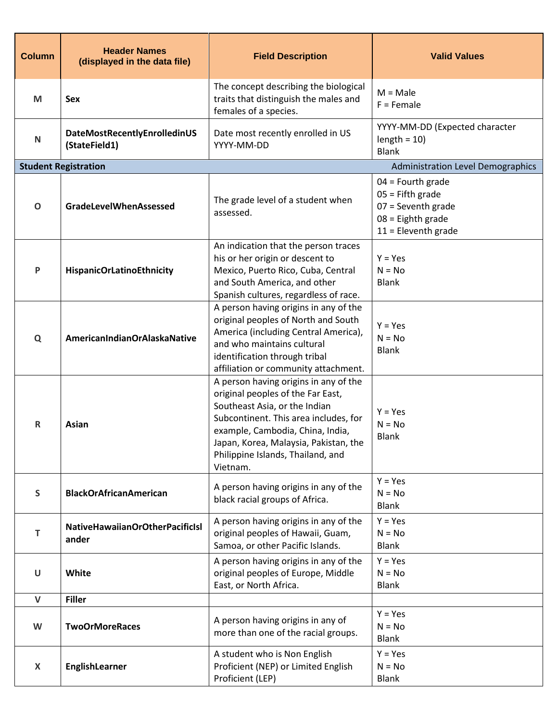| <b>Column</b> | <b>Header Names</b><br>(displayed in the data file) | <b>Field Description</b>                                                                                                                                                                                                                                                           | <b>Valid Values</b>                                                                                               |
|---------------|-----------------------------------------------------|------------------------------------------------------------------------------------------------------------------------------------------------------------------------------------------------------------------------------------------------------------------------------------|-------------------------------------------------------------------------------------------------------------------|
| M             | <b>Sex</b>                                          | The concept describing the biological<br>traits that distinguish the males and<br>females of a species.                                                                                                                                                                            | $M = Male$<br>$F =$ Female                                                                                        |
| $\mathsf{N}$  | DateMostRecentlyEnrolledinUS<br>(StateField1)       | Date most recently enrolled in US<br>YYYY-MM-DD                                                                                                                                                                                                                                    | YYYY-MM-DD (Expected character<br>$length = 10$<br><b>Blank</b>                                                   |
|               | <b>Student Registration</b>                         |                                                                                                                                                                                                                                                                                    | <b>Administration Level Demographics</b>                                                                          |
| $\mathbf 0$   | <b>GradeLevelWhenAssessed</b>                       | The grade level of a student when<br>assessed.                                                                                                                                                                                                                                     | $04$ = Fourth grade<br>$05$ = Fifth grade<br>$07 =$ Seventh grade<br>$08$ = Eighth grade<br>$11$ = Eleventh grade |
| P             | <b>HispanicOrLatinoEthnicity</b>                    | An indication that the person traces<br>his or her origin or descent to<br>Mexico, Puerto Rico, Cuba, Central<br>and South America, and other<br>Spanish cultures, regardless of race.                                                                                             | $Y = Yes$<br>$N = No$<br><b>Blank</b>                                                                             |
| Q             | AmericanIndianOrAlaskaNative                        | A person having origins in any of the<br>original peoples of North and South<br>America (including Central America),<br>and who maintains cultural<br>identification through tribal<br>affiliation or community attachment.                                                        | $Y = Yes$<br>$N = No$<br><b>Blank</b>                                                                             |
| R             | Asian                                               | A person having origins in any of the<br>original peoples of the Far East,<br>Southeast Asia, or the Indian<br>Subcontinent. This area includes, for<br>example, Cambodia, China, India,<br>Japan, Korea, Malaysia, Pakistan, the<br>Philippine Islands, Thailand, and<br>Vietnam. | $Y = Yes$<br>$N = No$<br><b>Blank</b>                                                                             |
| S             | <b>BlackOrAfricanAmerican</b>                       | A person having origins in any of the<br>black racial groups of Africa.                                                                                                                                                                                                            | $Y = Yes$<br>$N = No$<br><b>Blank</b>                                                                             |
| Т             | NativeHawaiianOrOtherPacificIsI<br>ander            | A person having origins in any of the<br>original peoples of Hawaii, Guam,<br>Samoa, or other Pacific Islands.                                                                                                                                                                     | $Y = Yes$<br>$N = No$<br><b>Blank</b>                                                                             |
| $\mathsf U$   | White                                               | A person having origins in any of the<br>original peoples of Europe, Middle<br>East, or North Africa.                                                                                                                                                                              | $Y = Yes$<br>$N = No$<br><b>Blank</b>                                                                             |
| $\mathsf{V}$  | <b>Filler</b>                                       |                                                                                                                                                                                                                                                                                    |                                                                                                                   |
| W             | <b>TwoOrMoreRaces</b>                               | A person having origins in any of<br>more than one of the racial groups.                                                                                                                                                                                                           | $Y = Yes$<br>$N = No$<br><b>Blank</b>                                                                             |
| X             | EnglishLearner                                      | A student who is Non English<br>Proficient (NEP) or Limited English<br>Proficient (LEP)                                                                                                                                                                                            | $Y = Yes$<br>$N = No$<br><b>Blank</b>                                                                             |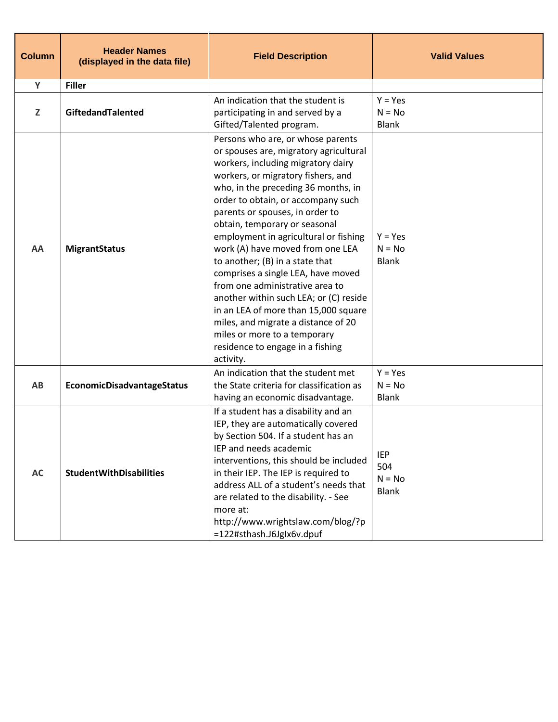| <b>Column</b> | <b>Header Names</b><br>(displayed in the data file) | <b>Field Description</b>                                                                                                                                                                                                                                                                                                                                                                                                                                                                                                                                                                                                                                                                                    | <b>Valid Values</b>                           |
|---------------|-----------------------------------------------------|-------------------------------------------------------------------------------------------------------------------------------------------------------------------------------------------------------------------------------------------------------------------------------------------------------------------------------------------------------------------------------------------------------------------------------------------------------------------------------------------------------------------------------------------------------------------------------------------------------------------------------------------------------------------------------------------------------------|-----------------------------------------------|
| Y             | <b>Filler</b>                                       |                                                                                                                                                                                                                                                                                                                                                                                                                                                                                                                                                                                                                                                                                                             |                                               |
| Z             | GiftedandTalented                                   | An indication that the student is<br>participating in and served by a<br>Gifted/Talented program.                                                                                                                                                                                                                                                                                                                                                                                                                                                                                                                                                                                                           | $Y = Yes$<br>$N = No$<br><b>Blank</b>         |
| AA            | <b>MigrantStatus</b>                                | Persons who are, or whose parents<br>or spouses are, migratory agricultural<br>workers, including migratory dairy<br>workers, or migratory fishers, and<br>who, in the preceding 36 months, in<br>order to obtain, or accompany such<br>parents or spouses, in order to<br>obtain, temporary or seasonal<br>employment in agricultural or fishing<br>work (A) have moved from one LEA<br>to another; (B) in a state that<br>comprises a single LEA, have moved<br>from one administrative area to<br>another within such LEA; or (C) reside<br>in an LEA of more than 15,000 square<br>miles, and migrate a distance of 20<br>miles or more to a temporary<br>residence to engage in a fishing<br>activity. | $Y = Yes$<br>$N = No$<br><b>Blank</b>         |
| AB            | EconomicDisadvantageStatus                          | An indication that the student met<br>the State criteria for classification as<br>having an economic disadvantage.                                                                                                                                                                                                                                                                                                                                                                                                                                                                                                                                                                                          | $Y = Yes$<br>$N = No$<br><b>Blank</b>         |
| AC            | <b>StudentWithDisabilities</b>                      | If a student has a disability and an<br>IEP, they are automatically covered<br>by Section 504. If a student has an<br>IEP and needs academic<br>interventions, this should be included<br>in their IEP. The IEP is required to<br>address ALL of a student's needs that<br>are related to the disability. - See<br>more at:<br>http://www.wrightslaw.com/blog/?p<br>=122#sthash.J6Jglx6v.dpuf                                                                                                                                                                                                                                                                                                               | <b>IEP</b><br>504<br>$N = No$<br><b>Blank</b> |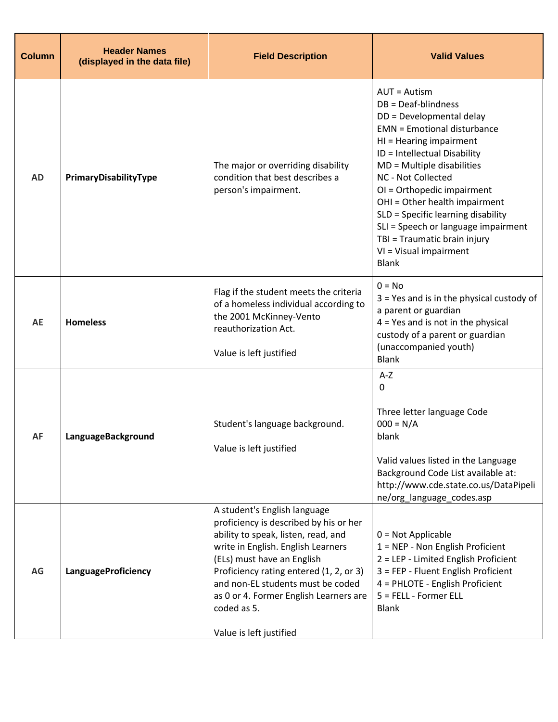| <b>Column</b> | <b>Header Names</b><br>(displayed in the data file) | <b>Field Description</b>                                                                                                                                                                                                                                                                                                                              | <b>Valid Values</b>                                                                                                                                                                                                                                                                                                                                                                                                                               |
|---------------|-----------------------------------------------------|-------------------------------------------------------------------------------------------------------------------------------------------------------------------------------------------------------------------------------------------------------------------------------------------------------------------------------------------------------|---------------------------------------------------------------------------------------------------------------------------------------------------------------------------------------------------------------------------------------------------------------------------------------------------------------------------------------------------------------------------------------------------------------------------------------------------|
| <b>AD</b>     | PrimaryDisabilityType                               | The major or overriding disability<br>condition that best describes a<br>person's impairment.                                                                                                                                                                                                                                                         | <b>AUT = Autism</b><br>DB = Deaf-blindness<br>DD = Developmental delay<br><b>EMN</b> = Emotional disturbance<br>HI = Hearing impairment<br>ID = Intellectual Disability<br>MD = Multiple disabilities<br>NC - Not Collected<br>OI = Orthopedic impairment<br>OHI = Other health impairment<br>SLD = Specific learning disability<br>SLI = Speech or language impairment<br>TBI = Traumatic brain injury<br>VI = Visual impairment<br><b>Blank</b> |
| AE            | <b>Homeless</b>                                     | Flag if the student meets the criteria<br>of a homeless individual according to<br>the 2001 McKinney-Vento<br>reauthorization Act.<br>Value is left justified                                                                                                                                                                                         | $0 = No$<br>$3$ = Yes and is in the physical custody of<br>a parent or guardian<br>$4$ = Yes and is not in the physical<br>custody of a parent or guardian<br>(unaccompanied youth)<br><b>Blank</b>                                                                                                                                                                                                                                               |
| <b>AF</b>     | LanguageBackground                                  | Student's language background.<br>Value is left justified                                                                                                                                                                                                                                                                                             | $A-Z$<br>0<br>Three letter language Code<br>$000 = N/A$<br>blank<br>Valid values listed in the Language<br>Background Code List available at:<br>http://www.cde.state.co.us/DataPipeli<br>ne/org_language_codes.asp                                                                                                                                                                                                                               |
| AG            | <b>LanguageProficiency</b>                          | A student's English language<br>proficiency is described by his or her<br>ability to speak, listen, read, and<br>write in English. English Learners<br>(ELs) must have an English<br>Proficiency rating entered (1, 2, or 3)<br>and non-EL students must be coded<br>as 0 or 4. Former English Learners are<br>coded as 5.<br>Value is left justified | $0 = Not Applicable$<br>1 = NEP - Non English Proficient<br>2 = LEP - Limited English Proficient<br>3 = FEP - Fluent English Proficient<br>4 = PHLOTE - English Proficient<br>5 = FELL - Former ELL<br><b>Blank</b>                                                                                                                                                                                                                               |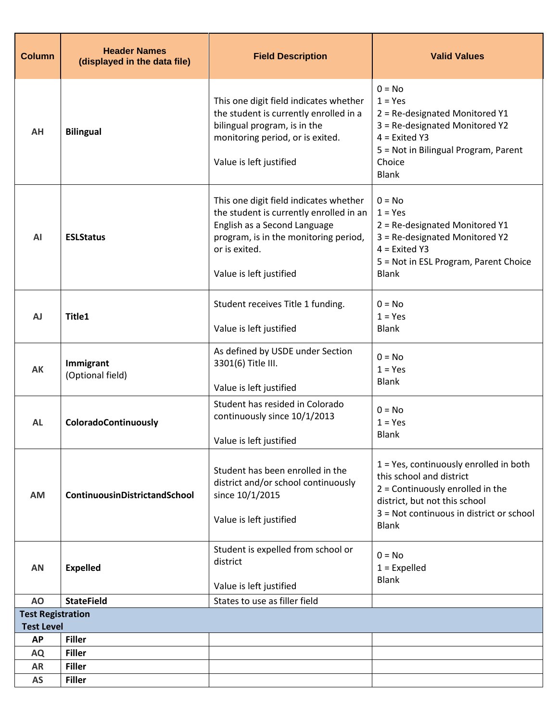| <b>Column</b>                  | <b>Header Names</b><br>(displayed in the data file) | <b>Field Description</b>                                                                                                                                                                               | <b>Valid Values</b>                                                                                                                                                                                   |
|--------------------------------|-----------------------------------------------------|--------------------------------------------------------------------------------------------------------------------------------------------------------------------------------------------------------|-------------------------------------------------------------------------------------------------------------------------------------------------------------------------------------------------------|
| AH                             | <b>Bilingual</b>                                    | This one digit field indicates whether<br>the student is currently enrolled in a<br>bilingual program, is in the<br>monitoring period, or is exited.<br>Value is left justified                        | $0 = No$<br>$1 = Yes$<br>2 = Re-designated Monitored Y1<br>3 = Re-designated Monitored Y2<br>$4$ = Exited Y3<br>5 = Not in Bilingual Program, Parent<br>Choice<br><b>Blank</b>                        |
| AI                             | <b>ESLStatus</b>                                    | This one digit field indicates whether<br>the student is currently enrolled in an<br>English as a Second Language<br>program, is in the monitoring period,<br>or is exited.<br>Value is left justified | $0 = No$<br>$1 = Yes$<br>2 = Re-designated Monitored Y1<br>3 = Re-designated Monitored Y2<br>$4$ = Exited Y3<br>5 = Not in ESL Program, Parent Choice<br><b>Blank</b>                                 |
| <b>AJ</b>                      | Title1                                              | Student receives Title 1 funding.<br>Value is left justified                                                                                                                                           | $0 = No$<br>$1 = Yes$<br><b>Blank</b>                                                                                                                                                                 |
| AK                             | Immigrant<br>(Optional field)                       | As defined by USDE under Section<br>3301(6) Title III.<br>Value is left justified                                                                                                                      | $0 = No$<br>$1 = Yes$<br><b>Blank</b>                                                                                                                                                                 |
| <b>AL</b>                      | ColoradoContinuously                                | Student has resided in Colorado<br>continuously since 10/1/2013<br>Value is left justified                                                                                                             | $0 = No$<br>$1 = Yes$<br><b>Blank</b>                                                                                                                                                                 |
| <b>AM</b>                      | ContinuousinDistrictandSchool                       | Student has been enrolled in the<br>district and/or school continuously<br>since 10/1/2015<br>Value is left justified                                                                                  | 1 = Yes, continuously enrolled in both<br>this school and district<br>$2 =$ Continuously enrolled in the<br>district, but not this school<br>3 = Not continuous in district or school<br><b>Blank</b> |
| <b>AN</b>                      | <b>Expelled</b>                                     | Student is expelled from school or<br>district<br>Value is left justified                                                                                                                              | $0 = No$<br>$1 =$ Expelled<br><b>Blank</b>                                                                                                                                                            |
| AO                             | <b>StateField</b>                                   | States to use as filler field                                                                                                                                                                          |                                                                                                                                                                                                       |
| <b>Test Registration</b>       |                                                     |                                                                                                                                                                                                        |                                                                                                                                                                                                       |
| <b>Test Level</b><br><b>AP</b> | <b>Filler</b>                                       |                                                                                                                                                                                                        |                                                                                                                                                                                                       |
| <b>AQ</b>                      | <b>Filler</b>                                       |                                                                                                                                                                                                        |                                                                                                                                                                                                       |
| <b>AR</b>                      | <b>Filler</b>                                       |                                                                                                                                                                                                        |                                                                                                                                                                                                       |
| <b>AS</b>                      | <b>Filler</b>                                       |                                                                                                                                                                                                        |                                                                                                                                                                                                       |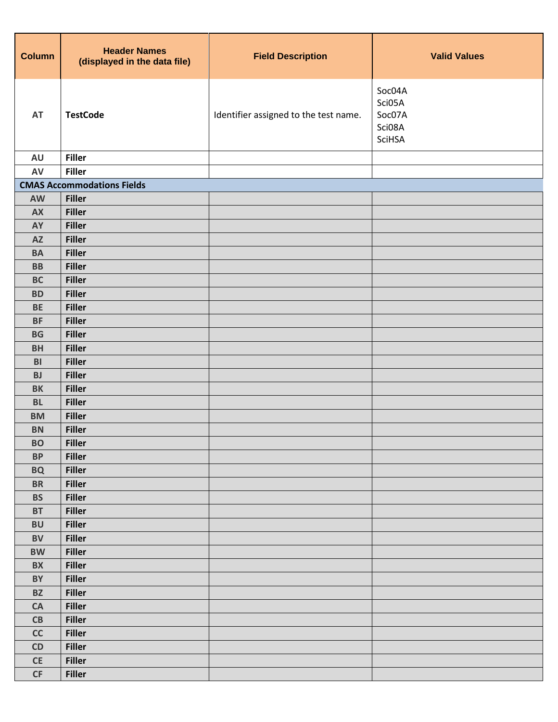| <b>Column</b>                 | <b>Header Names</b><br>(displayed in the data file) | <b>Field Description</b>              | <b>Valid Values</b>                            |
|-------------------------------|-----------------------------------------------------|---------------------------------------|------------------------------------------------|
| AT                            | <b>TestCode</b>                                     | Identifier assigned to the test name. | Soc04A<br>Sci05A<br>Soc07A<br>Sci08A<br>SciHSA |
| <b>AU</b>                     | <b>Filler</b>                                       |                                       |                                                |
| AV                            | <b>Filler</b>                                       |                                       |                                                |
|                               | <b>CMAS Accommodations Fields</b>                   |                                       |                                                |
| AW                            | <b>Filler</b>                                       |                                       |                                                |
| <b>AX</b>                     | <b>Filler</b>                                       |                                       |                                                |
| <b>AY</b>                     | <b>Filler</b>                                       |                                       |                                                |
| <b>AZ</b>                     | <b>Filler</b>                                       |                                       |                                                |
| <b>BA</b>                     | <b>Filler</b>                                       |                                       |                                                |
| <b>BB</b>                     | <b>Filler</b>                                       |                                       |                                                |
| <b>BC</b>                     | <b>Filler</b>                                       |                                       |                                                |
| <b>BD</b><br><b>BE</b>        | <b>Filler</b>                                       |                                       |                                                |
| <b>BF</b>                     | <b>Filler</b><br><b>Filler</b>                      |                                       |                                                |
| <b>BG</b>                     | <b>Filler</b>                                       |                                       |                                                |
| <b>BH</b>                     | <b>Filler</b>                                       |                                       |                                                |
| B <sub>l</sub>                | <b>Filler</b>                                       |                                       |                                                |
| <b>BJ</b>                     | <b>Filler</b>                                       |                                       |                                                |
| <b>BK</b>                     | <b>Filler</b>                                       |                                       |                                                |
| <b>BL</b>                     | <b>Filler</b>                                       |                                       |                                                |
| <b>BM</b>                     | <b>Filler</b>                                       |                                       |                                                |
| <b>BN</b>                     | <b>Filler</b>                                       |                                       |                                                |
| <b>BO</b>                     | <b>Filler</b>                                       |                                       |                                                |
| <b>BP</b>                     | <b>Filler</b>                                       |                                       |                                                |
| <b>BQ</b>                     | <b>Filler</b>                                       |                                       |                                                |
| <b>BR</b>                     | <b>Filler</b>                                       |                                       |                                                |
| <b>BS</b>                     | <b>Filler</b>                                       |                                       |                                                |
| <b>BT</b>                     | <b>Filler</b>                                       |                                       |                                                |
| <b>BU</b>                     | <b>Filler</b>                                       |                                       |                                                |
| <b>BV</b>                     | <b>Filler</b>                                       |                                       |                                                |
| <b>BW</b>                     | <b>Filler</b>                                       |                                       |                                                |
| <b>BX</b>                     | <b>Filler</b>                                       |                                       |                                                |
| BY                            | <b>Filler</b>                                       |                                       |                                                |
| <b>BZ</b>                     | <b>Filler</b>                                       |                                       |                                                |
| CA                            | <b>Filler</b>                                       |                                       |                                                |
| CB                            | <b>Filler</b>                                       |                                       |                                                |
| cc                            | <b>Filler</b>                                       |                                       |                                                |
| CD                            | <b>Filler</b>                                       |                                       |                                                |
| $\mathsf{CE}% _{\mathcal{A}}$ | <b>Filler</b>                                       |                                       |                                                |
| CF                            | <b>Filler</b>                                       |                                       |                                                |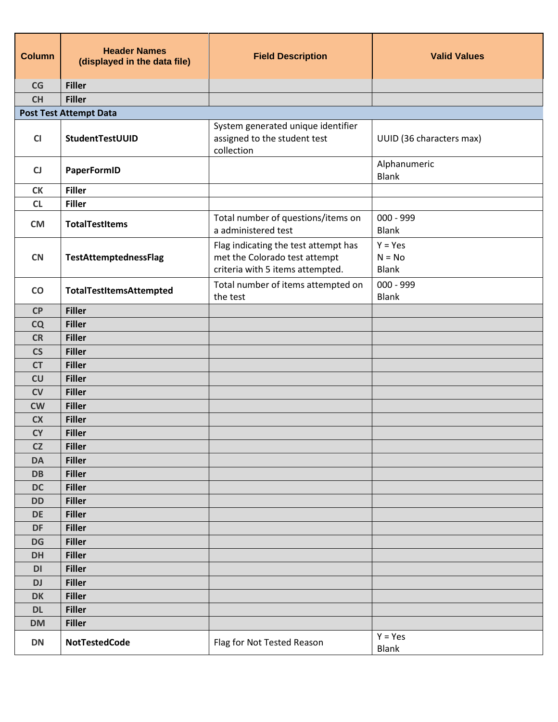| <b>Column</b>            | <b>Header Names</b><br>(displayed in the data file) | <b>Field Description</b>                                                                                  | <b>Valid Values</b>                   |
|--------------------------|-----------------------------------------------------|-----------------------------------------------------------------------------------------------------------|---------------------------------------|
| CG                       | <b>Filler</b>                                       |                                                                                                           |                                       |
| <b>CH</b>                | <b>Filler</b>                                       |                                                                                                           |                                       |
|                          | <b>Post Test Attempt Data</b>                       |                                                                                                           |                                       |
| CI                       | StudentTestUUID                                     | System generated unique identifier<br>assigned to the student test<br>collection                          | UUID (36 characters max)              |
| CJ                       | PaperFormID                                         |                                                                                                           | Alphanumeric<br><b>Blank</b>          |
| <b>CK</b>                | <b>Filler</b>                                       |                                                                                                           |                                       |
| CL                       | <b>Filler</b>                                       |                                                                                                           |                                       |
| <b>CM</b>                | <b>TotalTestItems</b>                               | Total number of questions/items on<br>a administered test                                                 | $000 - 999$<br><b>Blank</b>           |
| <b>CN</b>                | TestAttemptednessFlag                               | Flag indicating the test attempt has<br>met the Colorado test attempt<br>criteria with 5 items attempted. | $Y = Yes$<br>$N = No$<br><b>Blank</b> |
| $\mathbf{CO}$            | TotalTestItemsAttempted                             | Total number of items attempted on<br>the test                                                            | $000 - 999$<br><b>Blank</b>           |
| CP                       | <b>Filler</b>                                       |                                                                                                           |                                       |
| <b>CQ</b>                | <b>Filler</b>                                       |                                                                                                           |                                       |
| <b>CR</b>                | <b>Filler</b>                                       |                                                                                                           |                                       |
| $\mathsf{CS}\phantom{0}$ | <b>Filler</b>                                       |                                                                                                           |                                       |
| <b>CT</b>                | <b>Filler</b>                                       |                                                                                                           |                                       |
| CU                       | <b>Filler</b>                                       |                                                                                                           |                                       |
| <b>CV</b>                | <b>Filler</b>                                       |                                                                                                           |                                       |
| <b>CW</b>                | <b>Filler</b>                                       |                                                                                                           |                                       |
| <b>CX</b>                | <b>Filler</b>                                       |                                                                                                           |                                       |
| <b>CY</b>                | <b>Filler</b>                                       |                                                                                                           |                                       |
| CZ                       | <b>Filler</b>                                       |                                                                                                           |                                       |
| <b>DA</b>                | <b>Filler</b>                                       |                                                                                                           |                                       |
| <b>DB</b>                | <b>Filler</b>                                       |                                                                                                           |                                       |
| <b>DC</b>                | <b>Filler</b>                                       |                                                                                                           |                                       |
| <b>DD</b>                | <b>Filler</b>                                       |                                                                                                           |                                       |
| <b>DE</b>                | <b>Filler</b>                                       |                                                                                                           |                                       |
| DF                       | <b>Filler</b>                                       |                                                                                                           |                                       |
| <b>DG</b>                | <b>Filler</b>                                       |                                                                                                           |                                       |
| <b>DH</b>                | <b>Filler</b>                                       |                                                                                                           |                                       |
| DI                       | <b>Filler</b>                                       |                                                                                                           |                                       |
| <b>DJ</b>                | <b>Filler</b>                                       |                                                                                                           |                                       |
| <b>DK</b>                | <b>Filler</b>                                       |                                                                                                           |                                       |
| <b>DL</b>                | <b>Filler</b>                                       |                                                                                                           |                                       |
| <b>DM</b>                | <b>Filler</b>                                       |                                                                                                           |                                       |
| <b>DN</b>                | <b>NotTestedCode</b>                                | Flag for Not Tested Reason                                                                                | $Y = Yes$<br><b>Blank</b>             |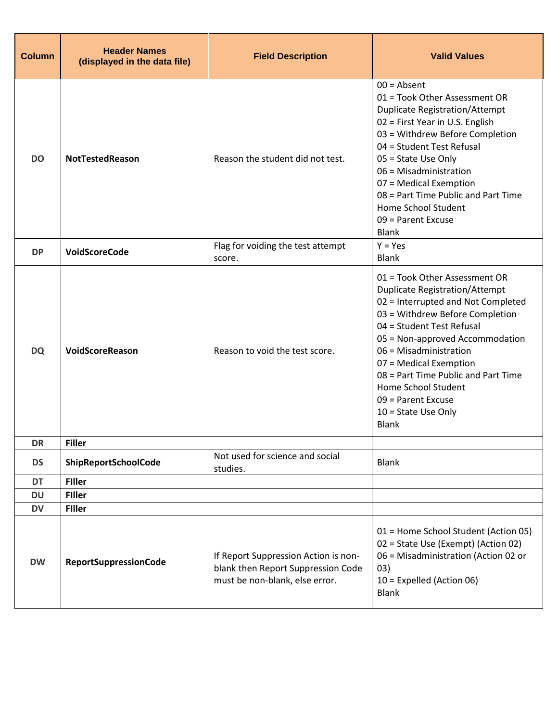| <b>Column</b> | <b>Header Names</b><br>(displayed in the data file) | <b>Field Description</b>                                                                                     | <b>Valid Values</b>                                                                                                                                                                                                                                                                                                                                                                              |
|---------------|-----------------------------------------------------|--------------------------------------------------------------------------------------------------------------|--------------------------------------------------------------------------------------------------------------------------------------------------------------------------------------------------------------------------------------------------------------------------------------------------------------------------------------------------------------------------------------------------|
| <b>DO</b>     | <b>NotTestedReason</b>                              | Reason the student did not test.                                                                             | $00 =$ Absent<br>01 = Took Other Assessment OR<br><b>Duplicate Registration/Attempt</b><br>02 = First Year in U.S. English<br>03 = Withdrew Before Completion<br>04 = Student Test Refusal<br>05 = State Use Only<br>06 = Misadministration<br>07 = Medical Exemption<br>08 = Part Time Public and Part Time<br>Home School Student<br>09 = Parent Excuse<br><b>Blank</b>                        |
| <b>DP</b>     | VoidScoreCode                                       | Flag for voiding the test attempt<br>score.                                                                  | $Y = Yes$<br><b>Blank</b>                                                                                                                                                                                                                                                                                                                                                                        |
| <b>DQ</b>     | VoidScoreReason                                     | Reason to void the test score.                                                                               | 01 = Took Other Assessment OR<br><b>Duplicate Registration/Attempt</b><br>02 = Interrupted and Not Completed<br>03 = Withdrew Before Completion<br>04 = Student Test Refusal<br>05 = Non-approved Accommodation<br>06 = Misadministration<br>07 = Medical Exemption<br>08 = Part Time Public and Part Time<br>Home School Student<br>09 = Parent Excuse<br>$10 =$ State Use Only<br><b>Blank</b> |
| <b>DR</b>     | <b>Filler</b>                                       |                                                                                                              |                                                                                                                                                                                                                                                                                                                                                                                                  |
| <b>DS</b>     | ShipReportSchoolCode                                | Not used for science and social<br>studies.                                                                  | <b>Blank</b>                                                                                                                                                                                                                                                                                                                                                                                     |
| <b>DT</b>     | <b>Filler</b>                                       |                                                                                                              |                                                                                                                                                                                                                                                                                                                                                                                                  |
| <b>DU</b>     | <b>Filler</b>                                       |                                                                                                              |                                                                                                                                                                                                                                                                                                                                                                                                  |
| <b>DV</b>     | <b>Filler</b>                                       |                                                                                                              |                                                                                                                                                                                                                                                                                                                                                                                                  |
| <b>DW</b>     | <b>ReportSuppressionCode</b>                        | If Report Suppression Action is non-<br>blank then Report Suppression Code<br>must be non-blank, else error. | 01 = Home School Student (Action 05)<br>02 = State Use (Exempt) (Action 02)<br>06 = Misadministration (Action 02 or<br>03)<br>10 = Expelled (Action 06)<br><b>Blank</b>                                                                                                                                                                                                                          |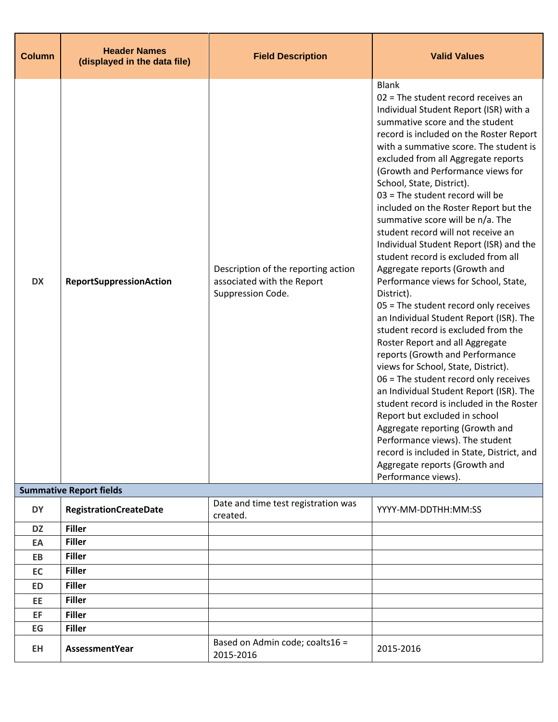| <b>Column</b> | <b>Header Names</b><br>(displayed in the data file) | <b>Field Description</b>                                                               | <b>Valid Values</b>                                                                                                                                                                                                                                                                                                                                                                                                                                                                                                                                                                                                                                                                                                                                                                                                                                                                                                                                                                                                                                                                                                                                                                                                                                |
|---------------|-----------------------------------------------------|----------------------------------------------------------------------------------------|----------------------------------------------------------------------------------------------------------------------------------------------------------------------------------------------------------------------------------------------------------------------------------------------------------------------------------------------------------------------------------------------------------------------------------------------------------------------------------------------------------------------------------------------------------------------------------------------------------------------------------------------------------------------------------------------------------------------------------------------------------------------------------------------------------------------------------------------------------------------------------------------------------------------------------------------------------------------------------------------------------------------------------------------------------------------------------------------------------------------------------------------------------------------------------------------------------------------------------------------------|
| <b>DX</b>     | <b>ReportSuppressionAction</b>                      | Description of the reporting action<br>associated with the Report<br>Suppression Code. | <b>Blank</b><br>02 = The student record receives an<br>Individual Student Report (ISR) with a<br>summative score and the student<br>record is included on the Roster Report<br>with a summative score. The student is<br>excluded from all Aggregate reports<br>(Growth and Performance views for<br>School, State, District).<br>03 = The student record will be<br>included on the Roster Report but the<br>summative score will be n/a. The<br>student record will not receive an<br>Individual Student Report (ISR) and the<br>student record is excluded from all<br>Aggregate reports (Growth and<br>Performance views for School, State,<br>District).<br>05 = The student record only receives<br>an Individual Student Report (ISR). The<br>student record is excluded from the<br>Roster Report and all Aggregate<br>reports (Growth and Performance<br>views for School, State, District).<br>06 = The student record only receives<br>an Individual Student Report (ISR). The<br>student record is included in the Roster<br>Report but excluded in school<br>Aggregate reporting (Growth and<br>Performance views). The student<br>record is included in State, District, and<br>Aggregate reports (Growth and<br>Performance views). |
|               | <b>Summative Report fields</b>                      |                                                                                        |                                                                                                                                                                                                                                                                                                                                                                                                                                                                                                                                                                                                                                                                                                                                                                                                                                                                                                                                                                                                                                                                                                                                                                                                                                                    |
| <b>DY</b>     | <b>RegistrationCreateDate</b>                       | Date and time test registration was<br>created.                                        | YYYY-MM-DDTHH:MM:SS                                                                                                                                                                                                                                                                                                                                                                                                                                                                                                                                                                                                                                                                                                                                                                                                                                                                                                                                                                                                                                                                                                                                                                                                                                |
| <b>DZ</b>     | <b>Filler</b>                                       |                                                                                        |                                                                                                                                                                                                                                                                                                                                                                                                                                                                                                                                                                                                                                                                                                                                                                                                                                                                                                                                                                                                                                                                                                                                                                                                                                                    |
| EA            | <b>Filler</b>                                       |                                                                                        |                                                                                                                                                                                                                                                                                                                                                                                                                                                                                                                                                                                                                                                                                                                                                                                                                                                                                                                                                                                                                                                                                                                                                                                                                                                    |
| EB            | <b>Filler</b>                                       |                                                                                        |                                                                                                                                                                                                                                                                                                                                                                                                                                                                                                                                                                                                                                                                                                                                                                                                                                                                                                                                                                                                                                                                                                                                                                                                                                                    |
| EC            | <b>Filler</b>                                       |                                                                                        |                                                                                                                                                                                                                                                                                                                                                                                                                                                                                                                                                                                                                                                                                                                                                                                                                                                                                                                                                                                                                                                                                                                                                                                                                                                    |
| <b>ED</b>     | <b>Filler</b>                                       |                                                                                        |                                                                                                                                                                                                                                                                                                                                                                                                                                                                                                                                                                                                                                                                                                                                                                                                                                                                                                                                                                                                                                                                                                                                                                                                                                                    |
| EE            | <b>Filler</b>                                       |                                                                                        |                                                                                                                                                                                                                                                                                                                                                                                                                                                                                                                                                                                                                                                                                                                                                                                                                                                                                                                                                                                                                                                                                                                                                                                                                                                    |
| EF            | <b>Filler</b>                                       |                                                                                        |                                                                                                                                                                                                                                                                                                                                                                                                                                                                                                                                                                                                                                                                                                                                                                                                                                                                                                                                                                                                                                                                                                                                                                                                                                                    |
| EG            | <b>Filler</b>                                       |                                                                                        |                                                                                                                                                                                                                                                                                                                                                                                                                                                                                                                                                                                                                                                                                                                                                                                                                                                                                                                                                                                                                                                                                                                                                                                                                                                    |
| <b>EH</b>     | AssessmentYear                                      | Based on Admin code; coalts16 =<br>2015-2016                                           | 2015-2016                                                                                                                                                                                                                                                                                                                                                                                                                                                                                                                                                                                                                                                                                                                                                                                                                                                                                                                                                                                                                                                                                                                                                                                                                                          |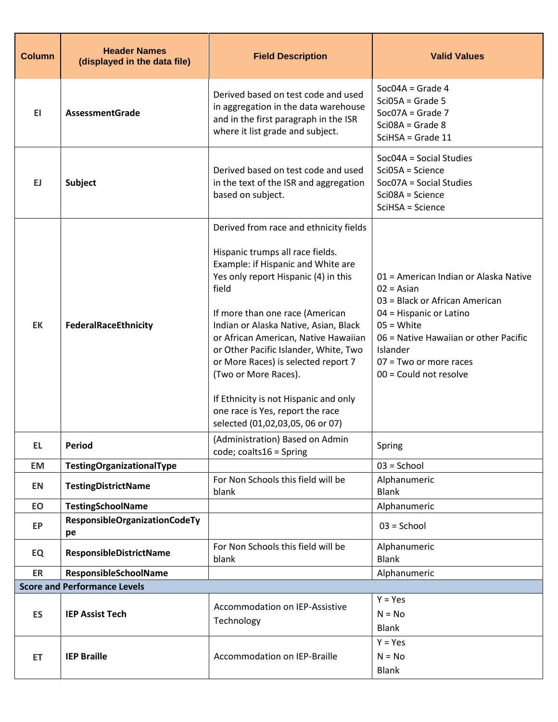| <b>Column</b> | <b>Header Names</b><br>(displayed in the data file) | <b>Field Description</b>                                                                                                                                                                                                 | <b>Valid Values</b>                                                                                                                                  |
|---------------|-----------------------------------------------------|--------------------------------------------------------------------------------------------------------------------------------------------------------------------------------------------------------------------------|------------------------------------------------------------------------------------------------------------------------------------------------------|
| EI.           | <b>AssessmentGrade</b>                              | Derived based on test code and used<br>in aggregation in the data warehouse<br>and in the first paragraph in the ISR<br>where it list grade and subject.                                                                 | $Soc04A = Grade 4$<br>$SciO5A = Grade 5$<br>$SocO7A = Grade 7$<br>$Sci08A = Grade 8$<br>$SciHSA = Grade 11$                                          |
| EJ            | <b>Subject</b>                                      | Derived based on test code and used<br>in the text of the ISR and aggregation<br>based on subject.                                                                                                                       | Soc04A = Social Studies<br>Sci05A = Science<br>Soc07A = Social Studies<br>Sci08A = Science<br>SciHSA = Science                                       |
|               |                                                     | Derived from race and ethnicity fields                                                                                                                                                                                   |                                                                                                                                                      |
|               |                                                     | Hispanic trumps all race fields.<br>Example: if Hispanic and White are<br>Yes only report Hispanic (4) in this<br>field                                                                                                  | 01 = American Indian or Alaska Native<br>$02 = Asian$<br>03 = Black or African American                                                              |
| <b>EK</b>     | <b>FederalRaceEthnicity</b>                         | If more than one race (American<br>Indian or Alaska Native, Asian, Black<br>or African American, Native Hawaiian<br>or Other Pacific Islander, White, Two<br>or More Races) is selected report 7<br>(Two or More Races). | 04 = Hispanic or Latino<br>$05 = White$<br>06 = Native Hawaiian or other Pacific<br>Islander<br>$07 = Two$ or more races<br>$00 =$ Could not resolve |
|               |                                                     | If Ethnicity is not Hispanic and only<br>one race is Yes, report the race<br>selected (01,02,03,05, 06 or 07)                                                                                                            |                                                                                                                                                      |
| EL,           | Period                                              | (Administration) Based on Admin<br>code; coalts16 = Spring                                                                                                                                                               | Spring                                                                                                                                               |
| <b>EM</b>     | TestingOrganizationalType                           |                                                                                                                                                                                                                          | $03 =$ School                                                                                                                                        |
| EN            | <b>TestingDistrictName</b>                          | For Non Schools this field will be<br>blank                                                                                                                                                                              | Alphanumeric<br><b>Blank</b>                                                                                                                         |
| EO            | <b>TestingSchoolName</b>                            |                                                                                                                                                                                                                          | Alphanumeric                                                                                                                                         |
| EP            | <b>ResponsibleOrganizationCodeTy</b><br>pe          |                                                                                                                                                                                                                          | $03 =$ School                                                                                                                                        |
| EQ            | ResponsibleDistrictName                             | For Non Schools this field will be<br>blank                                                                                                                                                                              | Alphanumeric<br><b>Blank</b>                                                                                                                         |
| ER            | ResponsibleSchoolName                               |                                                                                                                                                                                                                          | Alphanumeric                                                                                                                                         |
|               | <b>Score and Performance Levels</b>                 |                                                                                                                                                                                                                          |                                                                                                                                                      |
|               |                                                     | Accommodation on IEP-Assistive                                                                                                                                                                                           | $Y = Yes$                                                                                                                                            |
| <b>ES</b>     | <b>IEP Assist Tech</b>                              | Technology                                                                                                                                                                                                               | $N = No$<br><b>Blank</b>                                                                                                                             |
|               |                                                     |                                                                                                                                                                                                                          | $Y = Yes$                                                                                                                                            |
| ET            | <b>IEP Braille</b>                                  | Accommodation on IEP-Braille                                                                                                                                                                                             | $N = No$                                                                                                                                             |
|               |                                                     |                                                                                                                                                                                                                          | <b>Blank</b>                                                                                                                                         |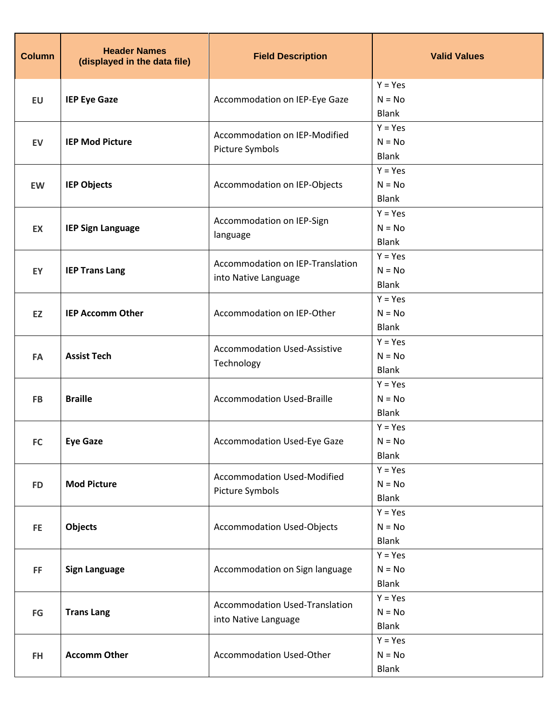| <b>Column</b>          | <b>Header Names</b><br>(displayed in the data file) | <b>Field Description</b>                          | <b>Valid Values</b>       |
|------------------------|-----------------------------------------------------|---------------------------------------------------|---------------------------|
|                        |                                                     |                                                   | $Y = Yes$                 |
| <b>EU</b>              | <b>IEP Eye Gaze</b>                                 | Accommodation on IEP-Eye Gaze                     | $N = No$                  |
|                        |                                                     |                                                   | <b>Blank</b><br>$Y = Yes$ |
| EV                     | <b>IEP Mod Picture</b>                              | Accommodation on IEP-Modified                     | $N = No$                  |
|                        |                                                     | Picture Symbols                                   | <b>Blank</b>              |
|                        |                                                     |                                                   | $Y = Yes$                 |
| EW                     | <b>IEP Objects</b>                                  | Accommodation on IEP-Objects                      | $N = No$                  |
|                        |                                                     |                                                   | <b>Blank</b>              |
|                        |                                                     | Accommodation on IEP-Sign                         | $Y = Yes$                 |
| EX                     | <b>IEP Sign Language</b>                            | language                                          | $N = No$                  |
|                        |                                                     |                                                   | <b>Blank</b><br>$Y = Yes$ |
| EY                     | <b>IEP Trans Lang</b>                               | Accommodation on IEP-Translation                  | $N = No$                  |
|                        |                                                     | into Native Language                              | <b>Blank</b>              |
|                        |                                                     |                                                   | $Y = Yes$                 |
| EZ                     | <b>IEP Accomm Other</b>                             | Accommodation on IEP-Other                        | $N = No$                  |
|                        |                                                     |                                                   | <b>Blank</b>              |
|                        | <b>Assist Tech</b>                                  | <b>Accommodation Used-Assistive</b><br>Technology | $Y = Yes$                 |
| FA                     |                                                     |                                                   | $N = No$                  |
|                        |                                                     |                                                   | <b>Blank</b>              |
|                        |                                                     | <b>Accommodation Used-Braille</b>                 | $Y = Yes$                 |
| <b>FB</b>              | <b>Braille</b>                                      |                                                   | $N = No$                  |
|                        |                                                     |                                                   | <b>Blank</b><br>$Y = Yes$ |
| <b>FC</b>              | <b>Eye Gaze</b>                                     | <b>Accommodation Used-Eye Gaze</b>                | $N = No$                  |
|                        |                                                     |                                                   | <b>Blank</b>              |
|                        |                                                     |                                                   | $Y = Yes$                 |
| <b>FD</b>              | <b>Mod Picture</b>                                  | <b>Accommodation Used-Modified</b>                | $N = No$                  |
|                        |                                                     | Picture Symbols                                   | <b>Blank</b>              |
|                        |                                                     |                                                   | $Y = Yes$                 |
| FE.                    | <b>Objects</b>                                      | <b>Accommodation Used-Objects</b>                 | $N = No$                  |
|                        |                                                     |                                                   | <b>Blank</b>              |
|                        |                                                     |                                                   | $Y = Yes$                 |
| FF.                    | <b>Sign Language</b>                                | Accommodation on Sign language                    | $N = No$                  |
|                        |                                                     |                                                   | <b>Blank</b><br>$Y = Yes$ |
| $\mathsf{F}\mathsf{G}$ | <b>Trans Lang</b>                                   | Accommodation Used-Translation                    | $N = No$                  |
|                        |                                                     | into Native Language                              | <b>Blank</b>              |
|                        |                                                     |                                                   | $Y = Yes$                 |
| FH.                    | <b>Accomm Other</b>                                 | Accommodation Used-Other                          | $N = No$                  |
|                        |                                                     |                                                   | <b>Blank</b>              |